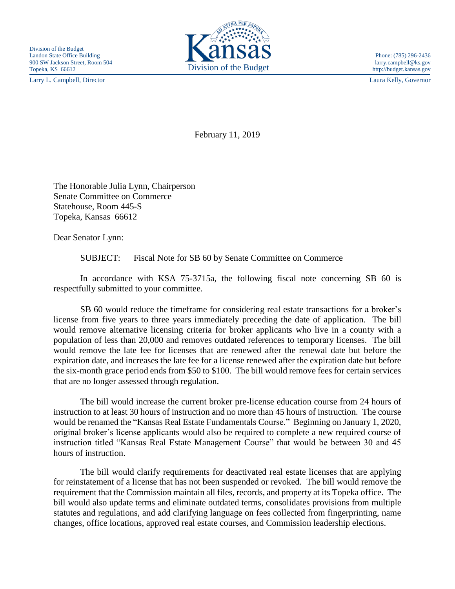Larry L. Campbell, Director Laura Kelly, Governor



February 11, 2019

The Honorable Julia Lynn, Chairperson Senate Committee on Commerce Statehouse, Room 445-S Topeka, Kansas 66612

Dear Senator Lynn:

SUBJECT: Fiscal Note for SB 60 by Senate Committee on Commerce

In accordance with KSA 75-3715a, the following fiscal note concerning SB 60 is respectfully submitted to your committee.

SB 60 would reduce the timeframe for considering real estate transactions for a broker's license from five years to three years immediately preceding the date of application. The bill would remove alternative licensing criteria for broker applicants who live in a county with a population of less than 20,000 and removes outdated references to temporary licenses. The bill would remove the late fee for licenses that are renewed after the renewal date but before the expiration date, and increases the late fee for a license renewed after the expiration date but before the six-month grace period ends from \$50 to \$100. The bill would remove fees for certain services that are no longer assessed through regulation.

The bill would increase the current broker pre-license education course from 24 hours of instruction to at least 30 hours of instruction and no more than 45 hours of instruction. The course would be renamed the "Kansas Real Estate Fundamentals Course." Beginning on January 1, 2020, original broker's license applicants would also be required to complete a new required course of instruction titled "Kansas Real Estate Management Course" that would be between 30 and 45 hours of instruction.

The bill would clarify requirements for deactivated real estate licenses that are applying for reinstatement of a license that has not been suspended or revoked. The bill would remove the requirement that the Commission maintain all files, records, and property at its Topeka office. The bill would also update terms and eliminate outdated terms, consolidates provisions from multiple statutes and regulations, and add clarifying language on fees collected from fingerprinting, name changes, office locations, approved real estate courses, and Commission leadership elections.